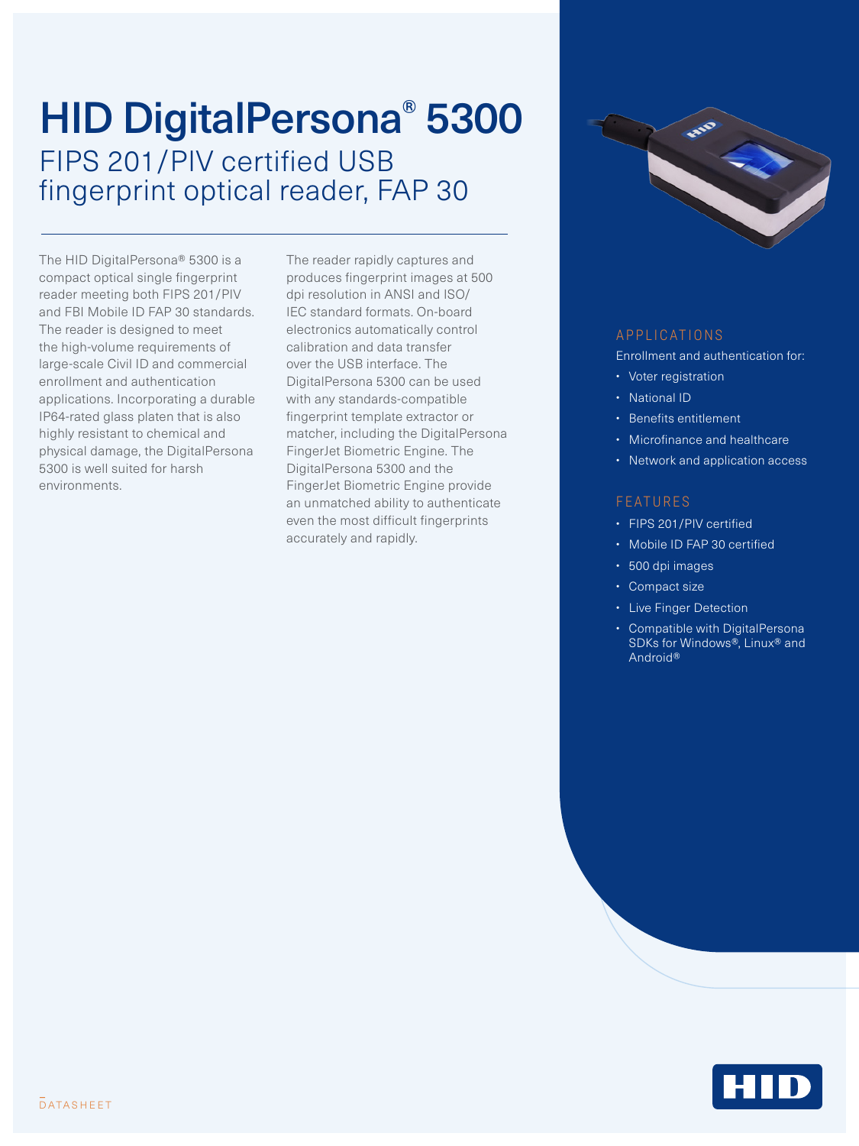## HID DigitalPersona® 5300 FIPS 201/PIV certified USB fingerprint optical reader, FAP 30

The HID DigitalPersona® 5300 is a compact optical single fingerprint reader meeting both FIPS 201/PIV and FBI Mobile ID FAP 30 standards. The reader is designed to meet the high-volume requirements of large-scale Civil ID and commercial enrollment and authentication applications. Incorporating a durable IP64-rated glass platen that is also highly resistant to chemical and physical damage, the DigitalPersona 5300 is well suited for harsh environments.

The reader rapidly captures and produces fingerprint images at 500 dpi resolution in ANSI and ISO/ IEC standard formats. On-board electronics automatically control calibration and data transfer over the USB interface. The DigitalPersona 5300 can be used with any standards-compatible fingerprint template extractor or matcher, including the DigitalPersona FingerJet Biometric Engine. The DigitalPersona 5300 and the FingerJet Biometric Engine provide an unmatched ability to authenticate even the most difficult fingerprints accurately and rapidly.



## A P P L I C A T I O N S

Enrollment and authentication for:

- Voter registration
- National ID
- Benefits entitlement
- Microfinance and healthcare
- Network and application access

## **FEATURES**

- FIPS 201/PIV certified
- Mobile ID FAP 30 certified
- 500 dpi images
- Compact size
- Live Finger Detection
- Compatible with DigitalPersona SDKs for Windows®, Linux® and Android®